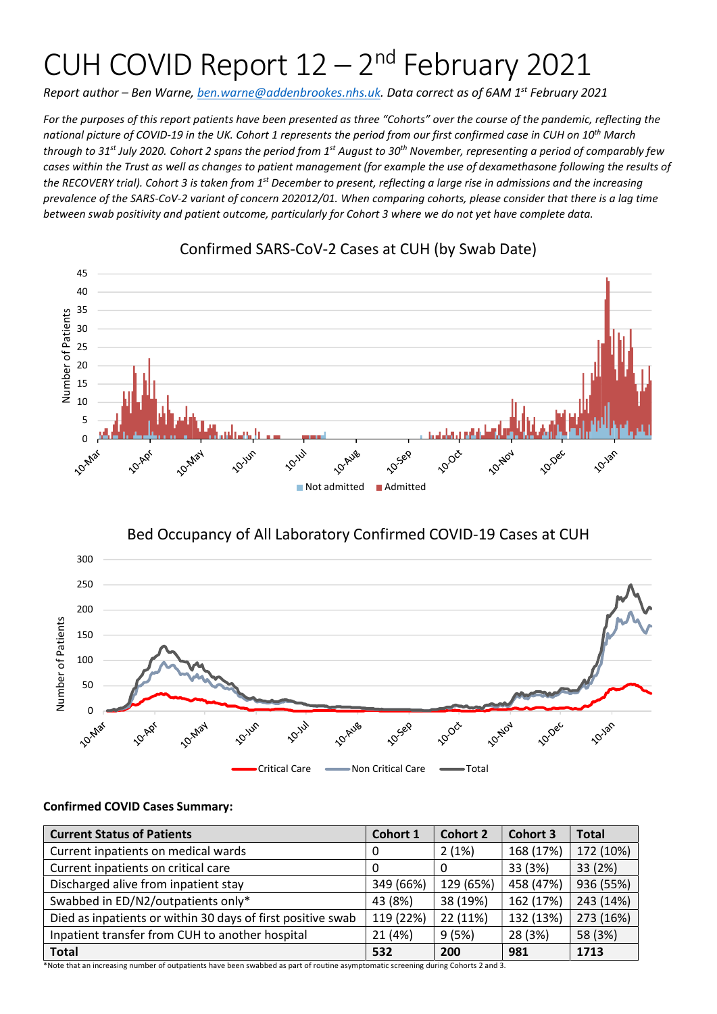# CUH COVID Report  $12 - 2<sup>nd</sup>$  February 2021

Report author – Ben Warne, ben.warne@addenbrookes.nhs.uk. Data correct as of 6AM 1<sup>st</sup> February 2021

For the purposes of this report patients have been presented as three "Cohorts" over the course of the pandemic, reflecting the national picture of COVID-19 in the UK. Cohort 1 represents the period from our first confirmed case in CUH on 10<sup>th</sup> March through to 31<sup>st</sup> July 2020. Cohort 2 spans the period from 1<sup>st</sup> August to 30<sup>th</sup> November, representing a period of comparably few cases within the Trust as well as changes to patient management (for example the use of dexamethasone following the results of the RECOVERY trial). Cohort 3 is taken from 1<sup>st</sup> December to present, reflecting a large rise in admissions and the increasing prevalence of the SARS-CoV-2 variant of concern 202012/01. When comparing cohorts, please consider that there is a lag time between swab positivity and patient outcome, particularly for Cohort 3 where we do not yet have complete data.



## Confirmed SARS-CoV-2 Cases at CUH (by Swab Date)

# Bed Occupancy of All Laboratory Confirmed COVID-19 Cases at CUH



#### Confirmed COVID Cases Summary:

| <b>Current Status of Patients</b>                           | Cohort 1  | <b>Cohort 2</b> | <b>Cohort 3</b> | <b>Total</b> |
|-------------------------------------------------------------|-----------|-----------------|-----------------|--------------|
| Current inpatients on medical wards                         | 0         | 2(1%)           | 168 (17%)       | 172 (10%)    |
| Current inpatients on critical care                         | $\Omega$  | 0               | 33 (3%)         | 33 (2%)      |
| Discharged alive from inpatient stay                        | 349 (66%) | 129 (65%)       | 458 (47%)       | 936 (55%)    |
| Swabbed in ED/N2/outpatients only*                          | 43 (8%)   | 38 (19%)        | 162 (17%)       | 243 (14%)    |
| Died as inpatients or within 30 days of first positive swab | 119 (22%) | 22 (11%)        | 132 (13%)       | 273 (16%)    |
| Inpatient transfer from CUH to another hospital             | 21 (4%)   | 9(5%)           | 28 (3%)         | 58 (3%)      |
| <b>Total</b>                                                | 532       | 200             | 981             | 1713         |

\*Note that an increasing number of outpatients have been swabbed as part of routine asymptomatic screening during Cohorts 2 and 3.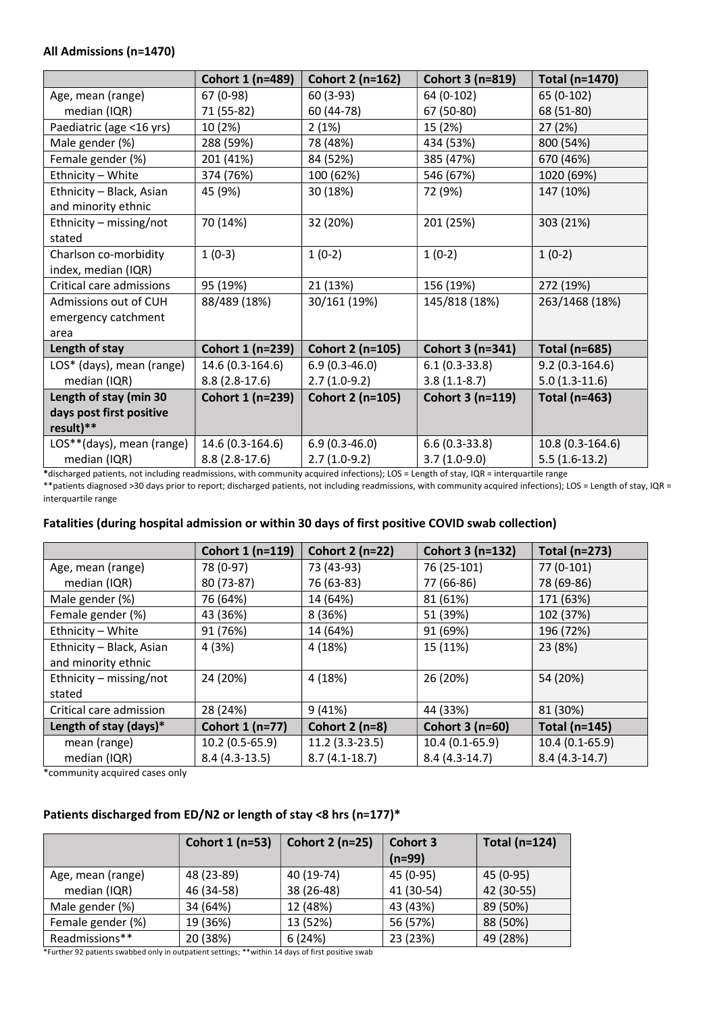#### All Admissions (n=1470)

|                           | Cohort 1 (n=489) | Cohort 2 (n=162)        | Cohort 3 (n=819)        | Total (n=1470)       |
|---------------------------|------------------|-------------------------|-------------------------|----------------------|
| Age, mean (range)         | 67 (0-98)        | 60 (3-93)               | 64 (0-102)              | 65 (0-102)           |
| median (IQR)              | 71 (55-82)       | 60 (44-78)              | 67 (50-80)              | 68 (51-80)           |
| Paediatric (age <16 yrs)  | 10 (2%)          | 2(1%)                   | 15 (2%)                 | 27(2%)               |
| Male gender (%)           | 288 (59%)        | 78 (48%)                | 434 (53%)               | 800 (54%)            |
| Female gender (%)         | 201 (41%)        | 84 (52%)                | 385 (47%)               | 670 (46%)            |
| Ethnicity - White         | 374 (76%)        | 100 (62%)               | 546 (67%)               | 1020 (69%)           |
| Ethnicity - Black, Asian  | 45 (9%)          | 30 (18%)                | 72 (9%)                 | 147 (10%)            |
| and minority ethnic       |                  |                         |                         |                      |
| Ethnicity - missing/not   | 70 (14%)         | 32 (20%)                | 201 (25%)               | 303 (21%)            |
| stated                    |                  |                         |                         |                      |
| Charlson co-morbidity     | $1(0-3)$         | $1(0-2)$                | $1(0-2)$                | $1(0-2)$             |
| index, median (IQR)       |                  |                         |                         |                      |
| Critical care admissions  | 95 (19%)         | 21 (13%)                | 156 (19%)               | 272 (19%)            |
| Admissions out of CUH     | 88/489 (18%)     | 30/161 (19%)            | 145/818 (18%)           | 263/1468 (18%)       |
| emergency catchment       |                  |                         |                         |                      |
| area                      |                  |                         |                         |                      |
| Length of stay            | Cohort 1 (n=239) | Cohort 2 (n=105)        | Cohort 3 (n=341)        | <b>Total (n=685)</b> |
| LOS* (days), mean (range) | 14.6 (0.3-164.6) | $6.9(0.3-46.0)$         | $6.1(0.3-33.8)$         | $9.2(0.3-164.6)$     |
| median (IQR)              | $8.8(2.8-17.6)$  | $2.7(1.0-9.2)$          | $3.8(1.1-8.7)$          | $5.0(1.3-11.6)$      |
| Length of stay (min 30    | Cohort 1 (n=239) | <b>Cohort 2 (n=105)</b> | <b>Cohort 3 (n=119)</b> | <b>Total (n=463)</b> |
| days post first positive  |                  |                         |                         |                      |
| result)**                 |                  |                         |                         |                      |
| LOS**(days), mean (range) | 14.6 (0.3-164.6) | $6.9(0.3-46.0)$         | $6.6(0.3-33.8)$         | 10.8 (0.3-164.6)     |
| median (IQR)              | $8.8(2.8-17.6)$  | $2.7(1.0-9.2)$          | $3.7(1.0-9.0)$          | $5.5(1.6-13.2)$      |

\*discharged patients, not including readmissions, with community acquired infections); LOS = Length of stay, IQR = interquartile range \*\*patients diagnosed >30 days prior to report; discharged patients, not including readmissions, with community acquired infections); LOS = Length of stay, IQR = interquartile range

#### Fatalities (during hospital admission or within 30 days of first positive COVID swab collection)

|                           | Cohort 1 (n=119) | Cohort 2 (n=22)  | Cohort 3 (n=132) | Total (n=273)   |
|---------------------------|------------------|------------------|------------------|-----------------|
| Age, mean (range)         | 78 (0-97)        | 73 (43-93)       | 76 (25-101)      | $77(0-101)$     |
| median (IQR)              | 80 (73-87)       | 76 (63-83)       | 77 (66-86)       | 78 (69-86)      |
| Male gender (%)           | 76 (64%)         | 14 (64%)         | 81 (61%)         | 171 (63%)       |
| Female gender (%)         | 43 (36%)         | 8 (36%)          | 51 (39%)         | 102 (37%)       |
| Ethnicity - White         | 91 (76%)         | 14 (64%)         | 91 (69%)         | 196 (72%)       |
| Ethnicity - Black, Asian  | 4 (3%)           | 4 (18%)          | 15 (11%)         | 23 (8%)         |
| and minority ethnic       |                  |                  |                  |                 |
| Ethnicity $-$ missing/not | 24 (20%)         | 4 (18%)          | 26 (20%)         | 54 (20%)        |
| stated                    |                  |                  |                  |                 |
| Critical care admission   | 28 (24%)         | 9(41%)           | 44 (33%)         | 81 (30%)        |
| Length of stay (days)*    | Cohort 1 (n=77)  | Cohort $2$ (n=8) | Cohort 3 (n=60)  | Total (n=145)   |
| mean (range)              | 10.2 (0.5-65.9)  | $11.2(3.3-23.5)$ | $10.4(0.1-65.9)$ | 10.4 (0.1-65.9) |
| median (IQR)              | $8.4(4.3-13.5)$  | $8.7(4.1-18.7)$  | $8.4(4.3-14.7)$  | $8.4(4.3-14.7)$ |

\*community acquired cases only

#### Patients discharged from ED/N2 or length of stay <8 hrs (n=177)\*

|                   | Cohort 1 (n=53) | Cohort 2 (n=25) | Cohort 3<br>$(n=99)$ | Total (n=124) |
|-------------------|-----------------|-----------------|----------------------|---------------|
| Age, mean (range) | 48 (23-89)      | 40 (19-74)      | 45 (0-95)            | 45 (0-95)     |
| median (IQR)      | 46 (34-58)      | 38 (26-48)      | 41 (30-54)           | 42 (30-55)    |
| Male gender (%)   | 34 (64%)        | 12 (48%)        | 43 (43%)             | 89 (50%)      |
| Female gender (%) | 19 (36%)        | 13 (52%)        | 56 (57%)             | 88 (50%)      |
| Readmissions**    | 20 (38%)        | 6(24%)          | 23 (23%)             | 49 (28%)      |

\*Further 92 patients swabbed only in outpatient settings; \*\*within 14 days of first positive swab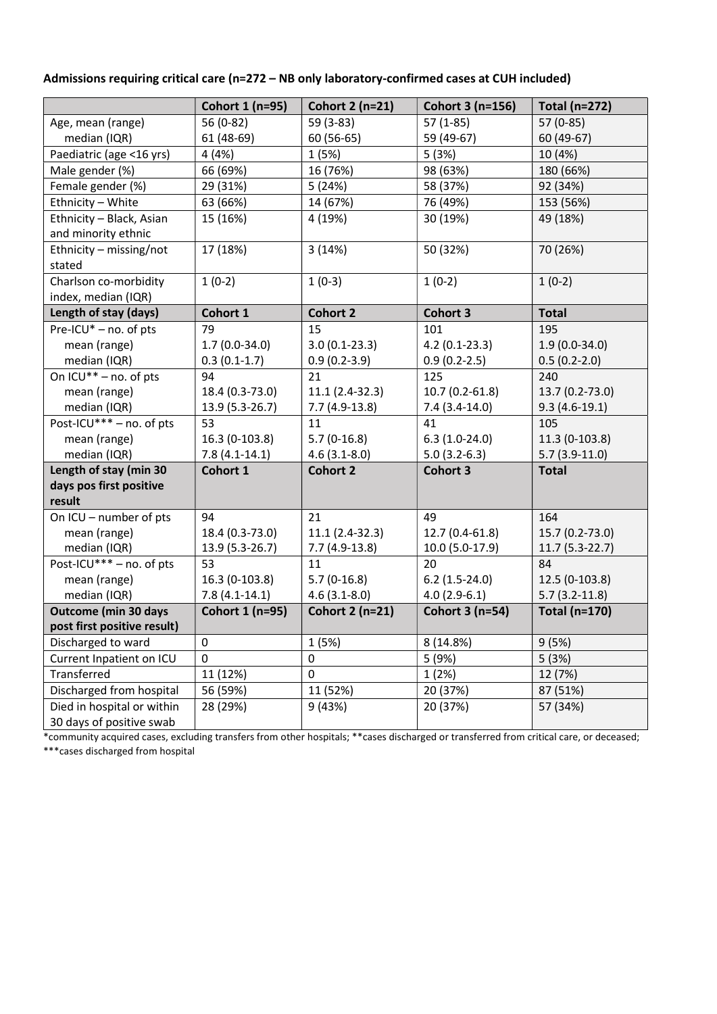|                             | Cohort 1 (n=95) | Cohort 2 (n=21)        | Cohort 3 (n=156) | <b>Total (n=272)</b> |
|-----------------------------|-----------------|------------------------|------------------|----------------------|
| Age, mean (range)           | 56 (0-82)       | 59 (3-83)              | $57(1-85)$       | 57 (0-85)            |
| median (IQR)                | 61 (48-69)      | 60 (56-65)             | 59 (49-67)       | 60 (49-67)           |
| Paediatric (age <16 yrs)    | 4 (4%)          | 1(5%)                  | 5(3%)            | 10 (4%)              |
| Male gender (%)             | 66 (69%)        | 16 (76%)               | 98 (63%)         | 180 (66%)            |
| Female gender (%)           | 29 (31%)        | 5(24%)                 | 58 (37%)         | 92 (34%)             |
| Ethnicity - White           | 63 (66%)        | 14 (67%)               | 76 (49%)         | 153 (56%)            |
| Ethnicity - Black, Asian    | 15 (16%)        | 4 (19%)                | 30 (19%)         | 49 (18%)             |
| and minority ethnic         |                 |                        |                  |                      |
| Ethnicity - missing/not     | 17 (18%)        | 3(14%)                 | 50 (32%)         | 70 (26%)             |
| stated                      |                 |                        |                  |                      |
| Charlson co-morbidity       | $1(0-2)$        | $1(0-3)$               | $1(0-2)$         | $1(0-2)$             |
| index, median (IQR)         |                 |                        |                  |                      |
| Length of stay (days)       | Cohort 1        | <b>Cohort 2</b>        | <b>Cohort 3</b>  | <b>Total</b>         |
| Pre-ICU $*$ – no. of pts    | 79              | 15                     | 101              | 195                  |
| mean (range)                | $1.7(0.0-34.0)$ | $3.0(0.1-23.3)$        | $4.2(0.1-23.3)$  | $1.9(0.0-34.0)$      |
| median (IQR)                | $0.3(0.1-1.7)$  | $0.9(0.2-3.9)$         | $0.9(0.2-2.5)$   | $0.5(0.2-2.0)$       |
| On ICU** - no. of pts       | 94              | 21                     | 125              | 240                  |
| mean (range)                | 18.4 (0.3-73.0) | 11.1 (2.4-32.3)        | 10.7 (0.2-61.8)  | 13.7 (0.2-73.0)      |
| median (IQR)                | 13.9 (5.3-26.7) | $7.7(4.9-13.8)$        | $7.4(3.4-14.0)$  | $9.3(4.6-19.1)$      |
| Post-ICU*** - no. of pts    | 53              | 11                     | 41               | 105                  |
| mean (range)                | 16.3 (0-103.8)  | $5.7(0-16.8)$          | $6.3(1.0-24.0)$  | 11.3 (0-103.8)       |
| median (IQR)                | $7.8(4.1-14.1)$ | $4.6(3.1 - 8.0)$       | $5.0(3.2-6.3)$   | $5.7(3.9-11.0)$      |
| Length of stay (min 30      | Cohort 1        | <b>Cohort 2</b>        | <b>Cohort 3</b>  | <b>Total</b>         |
| days pos first positive     |                 |                        |                  |                      |
| result                      |                 |                        |                  |                      |
| On ICU - number of pts      | 94              | 21                     | 49               | 164                  |
| mean (range)                | 18.4 (0.3-73.0) | 11.1 (2.4-32.3)        | 12.7 (0.4-61.8)  | 15.7 (0.2-73.0)      |
| median (IQR)                | 13.9 (5.3-26.7) | $7.7(4.9-13.8)$        | 10.0 (5.0-17.9)  | 11.7 (5.3-22.7)      |
| Post-ICU*** - no. of pts    | 53              | 11                     | 20               | 84                   |
| mean (range)                | 16.3 (0-103.8)  | $5.7(0-16.8)$          | $6.2$ (1.5-24.0) | 12.5 (0-103.8)       |
| median (IQR)                | $7.8(4.1-14.1)$ | $4.6(3.1 - 8.0)$       | $4.0(2.9-6.1)$   | $5.7(3.2-11.8)$      |
| <b>Outcome (min 30 days</b> | Cohort 1 (n=95) | <b>Cohort 2 (n=21)</b> | Cohort 3 (n=54)  | <b>Total (n=170)</b> |
| post first positive result) |                 |                        |                  |                      |
| Discharged to ward          | 0               | 1 (5%)                 | 8 (14.8%)        | 9(5%)                |
| Current Inpatient on ICU    | 0               | 0                      | 5 (9%)           | 5(3%)                |
| Transferred                 | 11 (12%)        | 0                      | 1(2%)            | 12 (7%)              |
| Discharged from hospital    | 56 (59%)        | 11 (52%)               | 20 (37%)         | 87 (51%)             |
| Died in hospital or within  | 28 (29%)        | 9(43%)                 | 20 (37%)         | 57 (34%)             |
| 30 days of positive swab    |                 |                        |                  |                      |

#### Admissions requiring critical care (n=272 – NB only laboratory-confirmed cases at CUH included)

\*community acquired cases, excluding transfers from other hospitals; \*\*cases discharged or transferred from critical care, or deceased; \*\*\*cases discharged from hospital